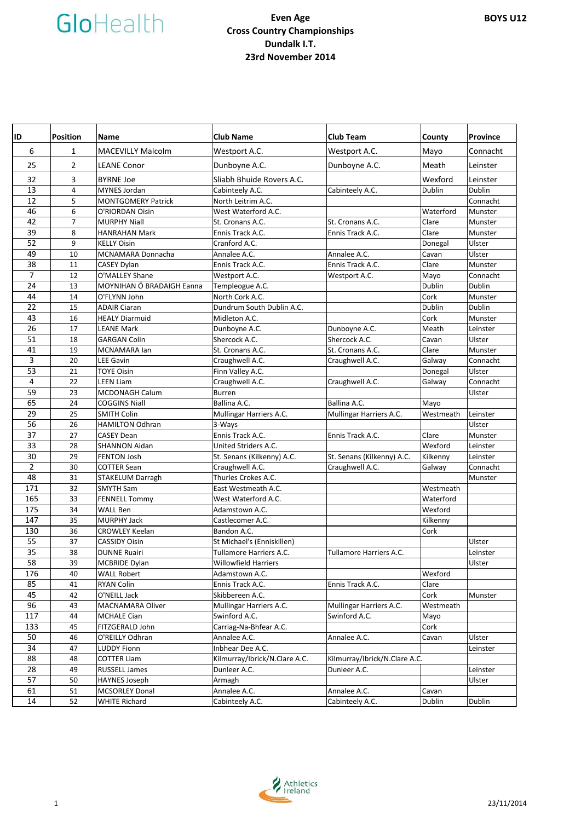| ID  | <b>Position</b> | <b>Name</b>               | <b>Club Name</b>              | <b>Club Team</b>              | County    | <b>Province</b> |
|-----|-----------------|---------------------------|-------------------------------|-------------------------------|-----------|-----------------|
| 6   | $\mathbf{1}$    | <b>MACEVILLY Malcolm</b>  | Westport A.C.                 | Westport A.C.                 | Mayo      | Connacht        |
| 25  | $\overline{2}$  | <b>LEANE Conor</b>        | Dunboyne A.C.                 | Dunboyne A.C.                 | Meath     | Leinster        |
| 32  | 3               | <b>BYRNE Joe</b>          | Sliabh Bhuide Rovers A.C.     |                               | Wexford   | Leinster        |
| 13  | $\overline{4}$  | <b>MYNES Jordan</b>       | Cabinteely A.C.               | Cabinteely A.C.               | Dublin    | Dublin          |
| 12  | 5               | <b>MONTGOMERY Patrick</b> | North Leitrim A.C.            |                               |           | Connacht        |
| 46  | 6               | O'RIORDAN Oisin           | West Waterford A.C.           |                               | Waterford | Munster         |
| 42  | 7               | <b>MURPHY Niall</b>       | St. Cronans A.C.              | St. Cronans A.C.              | Clare     | Munster         |
| 39  | 8               | <b>HANRAHAN Mark</b>      | Ennis Track A.C.              | Ennis Track A.C.              | Clare     | Munster         |
| 52  | 9               | <b>KELLY Oisin</b>        | Cranford A.C.                 |                               | Donegal   | Ulster          |
| 49  | 10              | MCNAMARA Donnacha         | Annalee A.C.                  | Annalee A.C.                  | Cavan     | Ulster          |
| 38  | 11              | <b>CASEY Dylan</b>        | Ennis Track A.C.              | Ennis Track A.C.              | Clare     | Munster         |
| 7   | 12              | O'MALLEY Shane            | Westport A.C.                 | Westport A.C.                 | Mayo      | Connacht        |
| 24  | 13              | MOYNIHAN Ó BRADAIGH Eanna | Templeogue A.C.               |                               | Dublin    | Dublin          |
| 44  | 14              | O'FLYNN John              | North Cork A.C.               |                               | Cork      | Munster         |
| 22  | 15              | <b>ADAIR Ciaran</b>       | Dundrum South Dublin A.C.     |                               | Dublin    | Dublin          |
| 43  | 16              | <b>HEALY Diarmuid</b>     | Midleton A.C.                 |                               | Cork      | Munster         |
| 26  | 17              | <b>LEANE Mark</b>         | Dunboyne A.C.                 | Dunboyne A.C.                 | Meath     | Leinster        |
| 51  | 18              | <b>GARGAN Colin</b>       | Shercock A.C.                 | Shercock A.C.                 | Cavan     | Ulster          |
| 41  | 19              | MCNAMARA lan              | St. Cronans A.C.              | St. Cronans A.C.              | Clare     | Munster         |
| 3   | 20              | <b>LEE Gavin</b>          | Craughwell A.C.               | Craughwell A.C.               | Galway    | Connacht        |
| 53  | 21              | <b>TOYE Oisin</b>         | Finn Valley A.C.              |                               | Donegal   | Ulster          |
| 4   | 22              | <b>LEEN Liam</b>          | Craughwell A.C.               | Craughwell A.C.               | Galway    | Connacht        |
| 59  | 23              | <b>MCDONAGH Calum</b>     | <b>Burren</b>                 |                               |           | Ulster          |
| 65  | 24              | <b>COGGINS Niall</b>      | Ballina A.C.                  | Ballina A.C.                  | Mayo      |                 |
| 29  | 25              | <b>SMITH Colin</b>        | Mullingar Harriers A.C.       | Mullingar Harriers A.C.       | Westmeath | Leinster        |
| 56  | 26              | <b>HAMILTON Odhran</b>    | 3-Ways                        |                               |           | Ulster          |
| 37  | 27              | <b>CASEY Dean</b>         | Ennis Track A.C.              | Ennis Track A.C.              | Clare     | Munster         |
| 33  | 28              | <b>SHANNON Aidan</b>      | United Striders A.C.          |                               | Wexford   | Leinster        |
| 30  | 29              | <b>FENTON Josh</b>        | St. Senans (Kilkenny) A.C.    | St. Senans (Kilkenny) A.C.    | Kilkenny  | Leinster        |
| 2   | 30              | <b>COTTER Sean</b>        | Craughwell A.C.               | Craughwell A.C.               | Galway    | Connacht        |
| 48  | 31              | STAKELUM Darragh          | Thurles Crokes A.C.           |                               |           | Munster         |
| 171 | 32              | <b>SMYTH Sam</b>          | East Westmeath A.C.           |                               | Westmeath |                 |
| 165 | 33              | <b>FENNELL Tommy</b>      | West Waterford A.C.           |                               | Waterford |                 |
| 175 | 34              | <b>WALL Ben</b>           | Adamstown A.C.                |                               | Wexford   |                 |
| 147 | 35              | <b>MURPHY Jack</b>        | Castlecomer A.C.              |                               | Kilkenny  |                 |
| 130 | 36              | <b>CROWLEY Keelan</b>     | Bandon A.C.                   |                               | Cork      |                 |
| 55  | 37              | <b>CASSIDY Oisin</b>      | St Michael's (Enniskillen)    |                               |           | Ulster          |
| 35  | 38              | <b>DUNNE Ruairi</b>       | Tullamore Harriers A.C.       | Tullamore Harriers A.C.       |           | Leinster        |
| 58  | 39              | <b>MCBRIDE Dylan</b>      | <b>Willowfield Harriers</b>   |                               |           | Ulster          |
| 176 | 40              | <b>WALL Robert</b>        | Adamstown A.C.                |                               | Wexford   |                 |
| 85  | 41              | RYAN Colin                | Ennis Track A.C.              | Ennis Track A.C.              | Clare     |                 |
| 45  | 42              | O'NEILL Jack              | Skibbereen A.C.               |                               | Cork      | Munster         |
| 96  | 43              | MACNAMARA Oliver          | Mullingar Harriers A.C.       | Mullingar Harriers A.C.       | Westmeath |                 |
| 117 | 44              | <b>MCHALE Cian</b>        | Swinford A.C.                 | Swinford A.C.                 | Mayo      |                 |
| 133 | 45              | FITZGERALD John           | Carriag-Na-Bhfear A.C.        |                               | Cork      |                 |
| 50  | 46              | O'REILLY Odhran           | Annalee A.C.                  | Annalee A.C.                  | Cavan     | Ulster          |
| 34  | 47              | <b>LUDDY Fionn</b>        | Inbhear Dee A.C.              |                               |           | Leinster        |
| 88  | 48              | <b>COTTER Liam</b>        | Kilmurray/Ibrick/N.Clare A.C. | Kilmurray/Ibrick/N.Clare A.C. |           |                 |
| 28  | 49              | <b>RUSSELL James</b>      | Dunleer A.C.                  | Dunleer A.C.                  |           | Leinster        |
| 57  | 50              | <b>HAYNES Joseph</b>      | Armagh                        |                               |           | Ulster          |
| 61  | 51              | <b>MCSORLEY Donal</b>     | Annalee A.C.                  | Annalee A.C.                  | Cavan     |                 |
| 14  | 52              | <b>WHITE Richard</b>      | Cabinteely A.C.               | Cabinteely A.C.               | Dublin    | Dublin          |

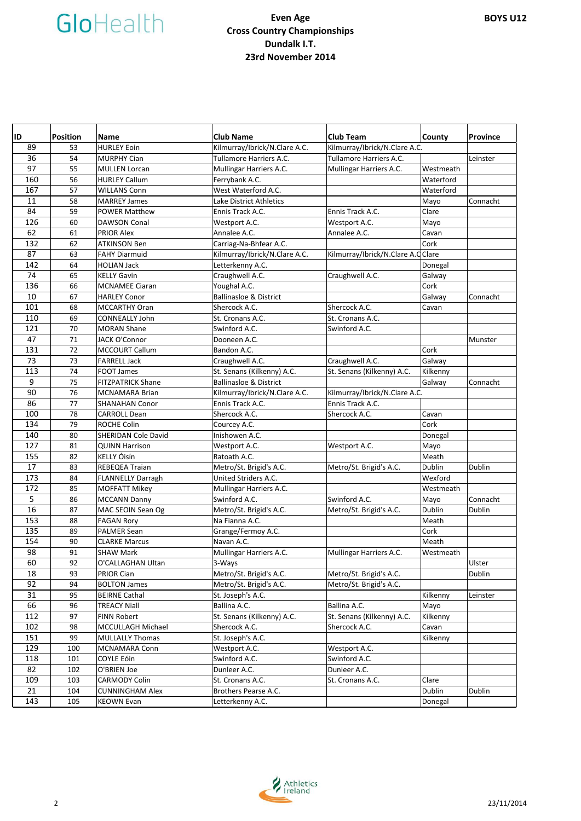| ID  | <b>Position</b> | Name                       | <b>Club Name</b>                  | <b>Club Team</b>                  | County    | Province |
|-----|-----------------|----------------------------|-----------------------------------|-----------------------------------|-----------|----------|
| 89  | 53              | <b>HURLEY Eoin</b>         | Kilmurray/Ibrick/N.Clare A.C.     | Kilmurray/Ibrick/N.Clare A.C.     |           |          |
| 36  | 54              | <b>MURPHY Cian</b>         | Tullamore Harriers A.C.           | Tullamore Harriers A.C.           |           | Leinster |
| 97  | 55              | <b>MULLEN Lorcan</b>       | Mullingar Harriers A.C.           | Mullingar Harriers A.C.           | Westmeath |          |
| 160 | 56              | <b>HURLEY Callum</b>       | Ferrybank A.C.                    |                                   | Waterford |          |
| 167 | 57              | <b>WILLANS Conn</b>        | West Waterford A.C.               |                                   | Waterford |          |
| 11  | 58              | <b>MARREY James</b>        | Lake District Athletics           |                                   | Mayo      | Connacht |
| 84  | 59              | <b>POWER Matthew</b>       | Ennis Track A.C.                  | Ennis Track A.C.                  | Clare     |          |
| 126 | 60              | <b>DAWSON Conal</b>        | Westport A.C.                     | Westport A.C.                     | Mayo      |          |
| 62  | 61              | <b>PRIOR Alex</b>          | Annalee A.C.                      | Annalee A.C.                      | Cavan     |          |
| 132 | 62              | ATKINSON Ben               | Carriag-Na-Bhfear A.C.            |                                   | Cork      |          |
| 87  | 63              | <b>FAHY Diarmuid</b>       | Kilmurray/Ibrick/N.Clare A.C.     | Kilmurray/Ibrick/N.Clare A.CClare |           |          |
| 142 | 64              | <b>HOLIAN Jack</b>         | Letterkenny A.C.                  |                                   | Donegal   |          |
| 74  | 65              | <b>KELLY Gavin</b>         | Craughwell A.C.                   | Craughwell A.C.                   | Galway    |          |
| 136 | 66              | <b>MCNAMEE Ciaran</b>      | Youghal A.C.                      |                                   | Cork      |          |
| 10  | 67              | <b>HARLEY Conor</b>        | <b>Ballinasloe &amp; District</b> |                                   | Galway    | Connacht |
| 101 | 68              | <b>MCCARTHY Oran</b>       | Shercock A.C.                     | Shercock A.C.                     | Cavan     |          |
| 110 | 69              | <b>CONNEALLY John</b>      | St. Cronans A.C.                  | St. Cronans A.C.                  |           |          |
| 121 | 70              | <b>MORAN Shane</b>         | Swinford A.C.                     | Swinford A.C.                     |           |          |
| 47  | 71              | JACK O'Connor              | Dooneen A.C.                      |                                   |           | Munster  |
| 131 | 72              | <b>MCCOURT Callum</b>      | Bandon A.C.                       |                                   | Cork      |          |
| 73  | 73              | <b>FARRELL Jack</b>        | Craughwell A.C.                   | Craughwell A.C.                   | Galway    |          |
| 113 | 74              | FOOT James                 | St. Senans (Kilkenny) A.C.        | St. Senans (Kilkenny) A.C.        | Kilkenny  |          |
| 9   | 75              | <b>FITZPATRICK Shane</b>   | <b>Ballinasloe &amp; District</b> |                                   | Galway    | Connacht |
| 90  | 76              | <b>MCNAMARA Brian</b>      | Kilmurray/Ibrick/N.Clare A.C.     | Kilmurray/Ibrick/N.Clare A.C.     |           |          |
| 86  | 77              | <b>SHANAHAN Conor</b>      | Ennis Track A.C.                  | Ennis Track A.C.                  |           |          |
| 100 | 78              | <b>CARROLL Dean</b>        | Shercock A.C.                     | Shercock A.C.                     | Cavan     |          |
| 134 | 79              | <b>ROCHE Colin</b>         | Courcey A.C.                      |                                   | Cork      |          |
| 140 | 80              | <b>SHERIDAN Cole David</b> | Inishowen A.C.                    |                                   | Donegal   |          |
| 127 | 81              | <b>QUINN Harrison</b>      | Westport A.C.                     | Westport A.C.                     | Mayo      |          |
| 155 | 82              | KELLY Óisín                | Ratoath A.C.                      |                                   | Meath     |          |
| 17  | 83              | REBEQEA Traian             | Metro/St. Brigid's A.C.           | Metro/St. Brigid's A.C.           | Dublin    | Dublin   |
| 173 | 84              | <b>FLANNELLY Darragh</b>   | United Striders A.C.              |                                   | Wexford   |          |
| 172 | 85              | <b>MOFFATT Mikey</b>       | Mullingar Harriers A.C.           |                                   | Westmeath |          |
| 5   | 86              | <b>MCCANN Danny</b>        | Swinford A.C.                     | Swinford A.C.                     | Mayo      | Connacht |
| 16  | 87              | MAC SEOIN Sean Og          | Metro/St. Brigid's A.C.           | Metro/St. Brigid's A.C.           | Dublin    | Dublin   |
| 153 | 88              | <b>FAGAN Rory</b>          | Na Fianna A.C.                    |                                   | Meath     |          |
| 135 | 89              | <b>PALMER Sean</b>         | Grange/Fermoy A.C.                |                                   | Cork      |          |
| 154 | 90              | <b>CLARKE Marcus</b>       | Navan A.C.                        |                                   | Meath     |          |
| 98  | 91              | <b>SHAW Mark</b>           | Mullingar Harriers A.C.           | Mullingar Harriers A.C.           | Westmeath |          |
| 60  | 92              | O'CALLAGHAN Ultan          | 3-Ways                            |                                   |           | Ulster   |
| 18  | 93              | PRIOR Cian                 | Metro/St. Brigid's A.C.           | Metro/St. Brigid's A.C.           |           | Dublin   |
| 92  | 94              | <b>BOLTON James</b>        | Metro/St. Brigid's A.C.           | Metro/St. Brigid's A.C.           |           |          |
| 31  | 95              | <b>BEIRNE Cathal</b>       | St. Joseph's A.C.                 |                                   | Kilkenny  | Leinster |
| 66  | 96              | <b>TREACY Niall</b>        | Ballina A.C.                      | Ballina A.C.                      | Mayo      |          |
| 112 | 97              | <b>FINN Robert</b>         | St. Senans (Kilkenny) A.C.        | St. Senans (Kilkenny) A.C.        | Kilkenny  |          |
| 102 | 98              | MCCULLAGH Michael          | Shercock A.C.                     | Shercock A.C.                     | Cavan     |          |
| 151 | 99              | <b>MULLALLY Thomas</b>     | St. Joseph's A.C.                 |                                   | Kilkenny  |          |
| 129 | 100             | MCNAMARA Conn              | Westport A.C.                     | Westport A.C.                     |           |          |
| 118 | 101             | COYLE Eóin                 | Swinford A.C.                     | Swinford A.C.                     |           |          |
| 82  | 102             | O'BRIEN Joe                | Dunleer A.C.                      | Dunleer A.C.                      |           |          |
| 109 | 103             | <b>CARMODY Colin</b>       | St. Cronans A.C.                  | St. Cronans A.C.                  | Clare     |          |
| 21  | 104             | <b>CUNNINGHAM Alex</b>     | Brothers Pearse A.C.              |                                   | Dublin    | Dublin   |
| 143 | 105             | <b>KEOWN Evan</b>          | Letterkenny A.C.                  |                                   | Donegal   |          |

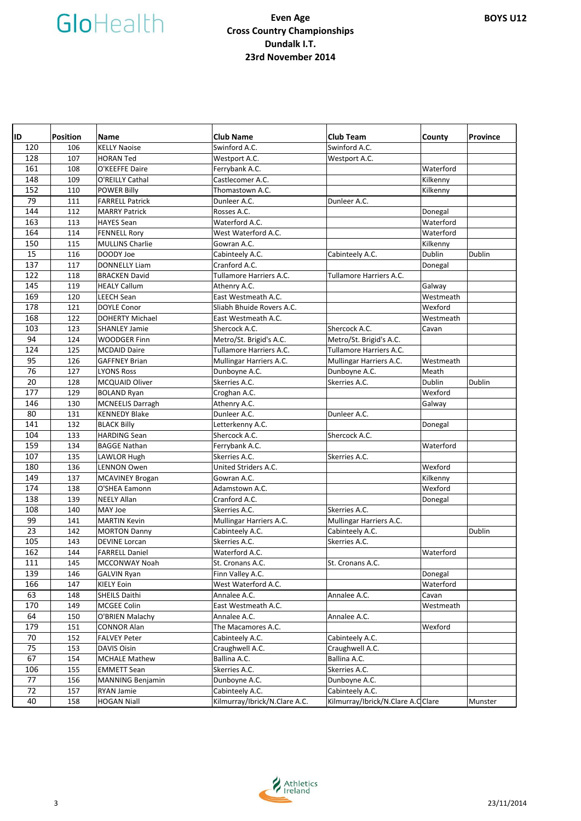| ID         | <b>Position</b> | <b>Name</b>                    | <b>Club Name</b>                        | <b>Club Team</b>                  | County               | <b>Province</b> |
|------------|-----------------|--------------------------------|-----------------------------------------|-----------------------------------|----------------------|-----------------|
| 120        | 106             | <b>KELLY Naoise</b>            | Swinford A.C.                           | Swinford A.C.                     |                      |                 |
| 128        | 107             | <b>HORAN Ted</b>               | Westport A.C.                           | Westport A.C.                     |                      |                 |
| 161        | 108             | O'KEEFFE Daire                 | Ferrybank A.C.                          |                                   | Waterford            |                 |
| 148        | 109             | O'REILLY Cathal                | Castlecomer A.C.                        |                                   | Kilkenny             |                 |
| 152        | 110             | <b>POWER Billy</b>             | Thomastown A.C.                         |                                   | Kilkenny             |                 |
| 79         | 111             | <b>FARRELL Patrick</b>         | Dunleer A.C.                            | Dunleer A.C.                      |                      |                 |
| 144        | 112             | <b>MARRY Patrick</b>           | Rosses A.C.                             |                                   | Donegal              |                 |
| 163        | 113             | <b>HAYES Sean</b>              | Waterford A.C.                          |                                   | Waterford            |                 |
| 164        | 114             | <b>FENNELL Rory</b>            | West Waterford A.C.                     |                                   | Waterford            |                 |
| 150        | 115             | <b>MULLINS Charlie</b>         | Gowran A.C.                             |                                   | Kilkenny             |                 |
| 15         | 116             | DOODY Joe                      | Cabinteely A.C.                         | Cabinteely A.C.                   | Dublin               | Dublin          |
| 137        | 117             | <b>DONNELLY Liam</b>           | Cranford A.C.                           |                                   | Donegal              |                 |
| 122        | 118             | <b>BRACKEN David</b>           | Tullamore Harriers A.C.                 | Tullamore Harriers A.C.           |                      |                 |
| 145        | 119             | <b>HEALY Callum</b>            | Athenry A.C.                            |                                   | Galway               |                 |
| 169        | 120             | <b>LEECH Sean</b>              | East Westmeath A.C.                     |                                   | Westmeath            |                 |
| 178        | 121             | <b>DOYLE Conor</b>             | Sliabh Bhuide Rovers A.C.               |                                   | Wexford              |                 |
| 168        | 122             | <b>DOHERTY Michael</b>         | East Westmeath A.C.                     |                                   | Westmeath            |                 |
| 103        | 123             | <b>SHANLEY Jamie</b>           | Shercock A.C.                           | Shercock A.C.                     | Cavan                |                 |
| 94         | 124             | <b>WOODGER Finn</b>            | Metro/St. Brigid's A.C.                 | Metro/St. Brigid's A.C.           |                      |                 |
| 124        | 125             | <b>MCDAID Daire</b>            | Tullamore Harriers A.C.                 | Tullamore Harriers A.C.           |                      |                 |
| 95         | 126             | <b>GAFFNEY Brian</b>           | Mullingar Harriers A.C.                 | Mullingar Harriers A.C.           | Westmeath            |                 |
| 76         | 127             | <b>LYONS Ross</b>              | Dunboyne A.C.                           | Dunboyne A.C.                     | Meath                |                 |
| 20         | 128             | <b>MCQUAID Oliver</b>          | Skerries A.C.                           | Skerries A.C.                     | Dublin               | Dublin          |
| 177        | 129             | <b>BOLAND Ryan</b>             | Croghan A.C.                            |                                   | Wexford              |                 |
| 146        | 130             | MCNEELIS Darragh               | Athenry A.C.                            |                                   | Galway               |                 |
| 80         | 131             | <b>KENNEDY Blake</b>           | Dunleer A.C.                            | Dunleer A.C.                      |                      |                 |
| 141        | 132             | <b>BLACK Billy</b>             | Letterkenny A.C.                        |                                   | Donegal              |                 |
| 104        | 133             | <b>HARDING Sean</b>            | Shercock A.C.                           | Shercock A.C.                     |                      |                 |
| 159        | 134             | <b>BAGGE Nathan</b>            | Ferrybank A.C.                          |                                   | Waterford            |                 |
| 107        | 135             | <b>LAWLOR Hugh</b>             | Skerries A.C.                           | Skerries A.C.                     |                      |                 |
| 180        | 136             | <b>LENNON Owen</b>             | United Striders A.C.                    |                                   | Wexford              |                 |
| 149        | 137             | <b>MCAVINEY Brogan</b>         | Gowran A.C.                             |                                   | Kilkenny             |                 |
| 174        | 138             | O'SHEA Eamonn                  | Adamstown A.C.                          |                                   | Wexford              |                 |
| 138        | 139             | <b>NEELY Allan</b>             | Cranford A.C.                           |                                   | Donegal              |                 |
| 108        | 140             | MAY Joe                        | Skerries A.C.                           | Skerries A.C.                     |                      |                 |
| 99         | 141             | <b>MARTIN Kevin</b>            | Mullingar Harriers A.C.                 | Mullingar Harriers A.C.           |                      |                 |
| 23         | 142             | <b>MORTON Danny</b>            | Cabinteely A.C.                         | Cabinteely A.C.                   |                      | Dublin          |
| 105        | 143             | <b>DEVINE Lorcan</b>           | Skerries A.C.                           | Skerries A.C.                     |                      |                 |
| 162        | 144             | <b>FARRELL Daniel</b>          | Waterford A.C.                          |                                   | Waterford            |                 |
| 111        | 145             | MCCONWAY Noah                  | St. Cronans A.C.                        | St. Cronans A.C.                  |                      |                 |
| 139<br>166 | 146<br>147      | <b>GALVIN Ryan</b>             | Finn Valley A.C.<br>West Waterford A.C. |                                   | Donegal<br>Waterford |                 |
| 63         | 148             | KIELY Eoin                     | Annalee A.C.                            | Annalee A.C.                      |                      |                 |
| 170        | 149             | SHEILS Daithi                  | East Westmeath A.C.                     |                                   | Cavan<br>Westmeath   |                 |
| 64         | 150             | MCGEE Colin<br>O'BRIEN Malachy | Annalee A.C.                            | Annalee A.C.                      |                      |                 |
| 179        | 151             | <b>CONNOR Alan</b>             | The Macamores A.C.                      |                                   | Wexford              |                 |
| 70         | 152             | <b>FALVEY Peter</b>            | Cabinteely A.C.                         | Cabinteely A.C.                   |                      |                 |
| 75         | 153             | DAVIS Oisin                    | Craughwell A.C.                         | Craughwell A.C.                   |                      |                 |
| 67         | 154             | <b>MCHALE Mathew</b>           | Ballina A.C.                            | Ballina A.C.                      |                      |                 |
| 106        | 155             | <b>EMMETT Sean</b>             | Skerries A.C.                           | Skerries A.C.                     |                      |                 |
| 77         | 156             | <b>MANNING Benjamin</b>        | Dunboyne A.C.                           | Dunboyne A.C.                     |                      |                 |
| 72         | 157             | RYAN Jamie                     | Cabinteely A.C.                         | Cabinteely A.C.                   |                      |                 |
| 40         | 158             | <b>HOGAN Niall</b>             | Kilmurray/Ibrick/N.Clare A.C.           | Kilmurray/Ibrick/N.Clare A.CClare |                      | Munster         |